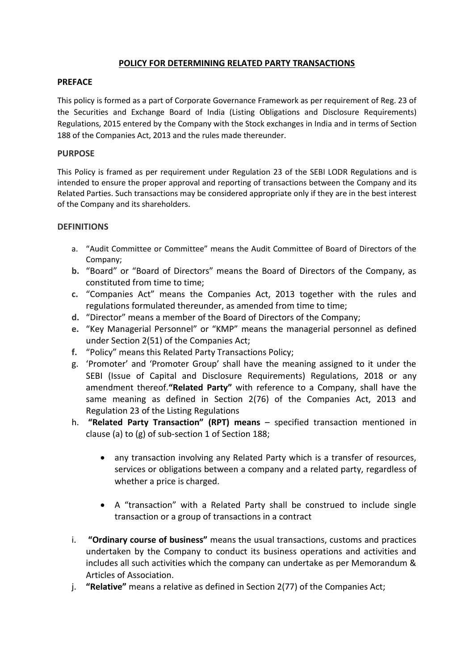## **POLICY FOR DETERMINING RELATED PARTY TRANSACTIONS**

### **PREFACE**

This policy is formed as a part of Corporate Governance Framework as per requirement of Reg. 23 of the Securities and Exchange Board of India (Listing Obligations and Disclosure Requirements) Regulations, 2015 entered by the Company with the Stock exchanges in India and in terms of Section 188 of the Companies Act, 2013 and the rules made thereunder.

### **PURPOSE**

This Policy is framed as per requirement under Regulation 23 of the SEBI LODR Regulations and is intended to ensure the proper approval and reporting of transactions between the Company and its Related Parties. Such transactions may be considered appropriate only if they are in the best interest of the Company and its shareholders.

#### **DEFINITIONS**

- a. "Audit Committee or Committee" means the Audit Committee of Board of Directors of the Company;
- **b.** "Board" or "Board of Directors" means the Board of Directors of the Company, as constituted from time to time;
- **c.** "Companies Act" means the Companies Act, 2013 together with the rules and regulations formulated thereunder, as amended from time to time;
- **d.** "Director" means a member of the Board of Directors of the Company;
- **e.** "Key Managerial Personnel" or "KMP" means the managerial personnel as defined under Section 2(51) of the Companies Act;
- **f.** "Policy" means this Related Party Transactions Policy;
- g. 'Promoter' and 'Promoter Group' shall have the meaning assigned to it under the SEBI (Issue of Capital and Disclosure Requirements) Regulations, 2018 or any amendment thereof.**"Related Party"** with reference to a Company, shall have the same meaning as defined in Section 2(76) of the Companies Act, 2013 and Regulation 23 of the Listing Regulations
- h. **"Related Party Transaction" (RPT) means** specified transaction mentioned in clause (a) to (g) of sub-section 1 of Section 188;
	- any transaction involving any Related Party which is a transfer of resources, services or obligations between a company and a related party, regardless of whether a price is charged.
	- A "transaction" with a Related Party shall be construed to include single transaction or a group of transactions in a contract
- i. **"Ordinary course of business"** means the usual transactions, customs and practices undertaken by the Company to conduct its business operations and activities and includes all such activities which the company can undertake as per Memorandum & Articles of Association.
- j. **"Relative"** means a relative as defined in Section 2(77) of the Companies Act;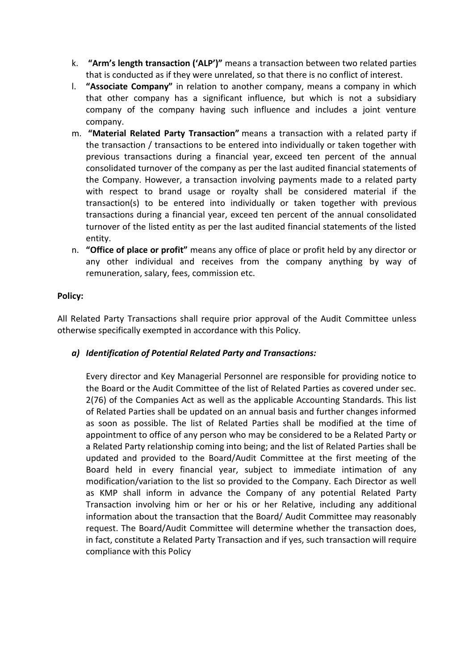- k. **"Arm's length transaction ('ALP')"** means a transaction between two related parties that is conducted as if they were unrelated, so that there is no conflict of interest.
- l. **"Associate Company"** in relation to another company, means a company in which that other company has a significant influence, but which is not a subsidiary company of the company having such influence and includes a joint venture company.
- m. **"Material Related Party Transaction"** means a transaction with a related party if the transaction / transactions to be entered into individually or taken together with previous transactions during a financial year, exceed ten percent of the annual consolidated turnover of the company as per the last audited financial statements of the Company. However, a transaction involving payments made to a related party with respect to brand usage or royalty shall be considered material if the transaction(s) to be entered into individually or taken together with previous transactions during a financial year, exceed ten percent of the annual consolidated turnover of the listed entity as per the last audited financial statements of the listed entity.
- n. **"Office of place or profit"** means any office of place or profit held by any director or any other individual and receives from the company anything by way of remuneration, salary, fees, commission etc.

# **Policy:**

All Related Party Transactions shall require prior approval of the Audit Committee unless otherwise specifically exempted in accordance with this Policy.

# *a) Identification of Potential Related Party and Transactions:*

Every director and Key Managerial Personnel are responsible for providing notice to the Board or the Audit Committee of the list of Related Parties as covered under sec. 2(76) of the Companies Act as well as the applicable Accounting Standards. This list of Related Parties shall be updated on an annual basis and further changes informed as soon as possible. The list of Related Parties shall be modified at the time of appointment to office of any person who may be considered to be a Related Party or a Related Party relationship coming into being; and the list of Related Parties shall be updated and provided to the Board/Audit Committee at the first meeting of the Board held in every financial year, subject to immediate intimation of any modification/variation to the list so provided to the Company. Each Director as well as KMP shall inform in advance the Company of any potential Related Party Transaction involving him or her or his or her Relative, including any additional information about the transaction that the Board/ Audit Committee may reasonably request. The Board/Audit Committee will determine whether the transaction does, in fact, constitute a Related Party Transaction and if yes, such transaction will require compliance with this Policy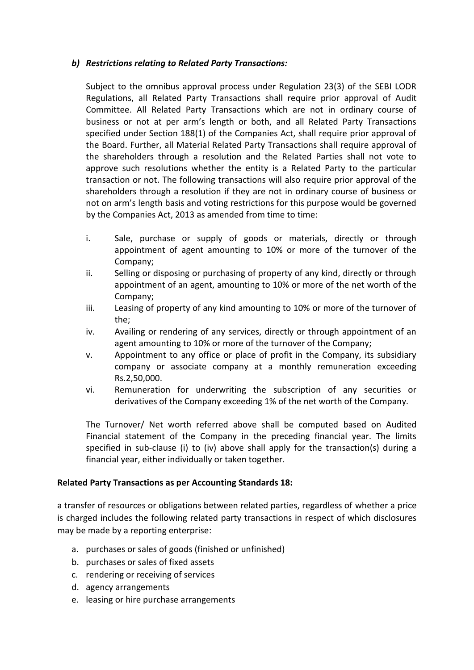## *b) Restrictions relating to Related Party Transactions:*

Subject to the omnibus approval process under Regulation 23(3) of the SEBI LODR Regulations, all Related Party Transactions shall require prior approval of Audit Committee. All Related Party Transactions which are not in ordinary course of business or not at per arm's length or both, and all Related Party Transactions specified under Section 188(1) of the Companies Act, shall require prior approval of the Board. Further, all Material Related Party Transactions shall require approval of the shareholders through a resolution and the Related Parties shall not vote to approve such resolutions whether the entity is a Related Party to the particular transaction or not. The following transactions will also require prior approval of the shareholders through a resolution if they are not in ordinary course of business or not on arm's length basis and voting restrictions for this purpose would be governed by the Companies Act, 2013 as amended from time to time:

- i. Sale, purchase or supply of goods or materials, directly or through appointment of agent amounting to 10% or more of the turnover of the Company;
- ii. Selling or disposing or purchasing of property of any kind, directly or through appointment of an agent, amounting to 10% or more of the net worth of the Company;
- iii. Leasing of property of any kind amounting to 10% or more of the turnover of the;
- iv. Availing or rendering of any services, directly or through appointment of an agent amounting to 10% or more of the turnover of the Company;
- v. Appointment to any office or place of profit in the Company, its subsidiary company or associate company at a monthly remuneration exceeding Rs.2,50,000.
- vi. Remuneration for underwriting the subscription of any securities or derivatives of the Company exceeding 1% of the net worth of the Company.

The Turnover/ Net worth referred above shall be computed based on Audited Financial statement of the Company in the preceding financial year. The limits specified in sub-clause (i) to (iv) above shall apply for the transaction(s) during a financial year, either individually or taken together.

## **Related Party Transactions as per Accounting Standards 18:**

a transfer of resources or obligations between related parties, regardless of whether a price is charged includes the following related party transactions in respect of which disclosures may be made by a reporting enterprise:

- a. purchases or sales of goods (finished or unfinished)
- b. purchases or sales of fixed assets
- c. rendering or receiving of services
- d. agency arrangements
- e. leasing or hire purchase arrangements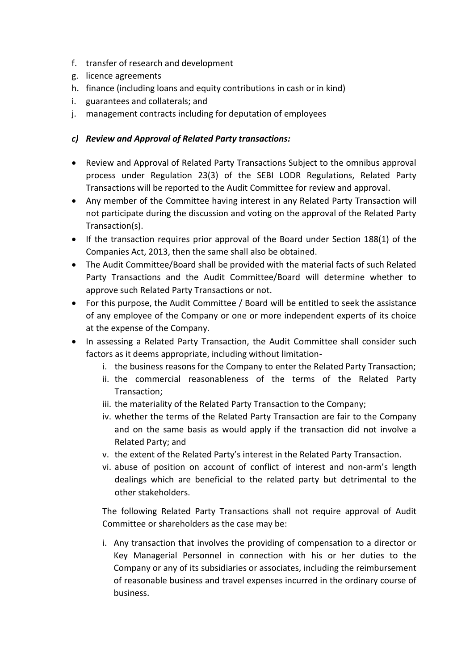- f. transfer of research and development
- g. licence agreements
- h. finance (including loans and equity contributions in cash or in kind)
- i. guarantees and collaterals; and
- j. management contracts including for deputation of employees

# *c) Review and Approval of Related Party transactions:*

- Review and Approval of Related Party Transactions Subject to the omnibus approval process under Regulation 23(3) of the SEBI LODR Regulations, Related Party Transactions will be reported to the Audit Committee for review and approval.
- Any member of the Committee having interest in any Related Party Transaction will not participate during the discussion and voting on the approval of the Related Party Transaction(s).
- If the transaction requires prior approval of the Board under Section 188(1) of the Companies Act, 2013, then the same shall also be obtained.
- The Audit Committee/Board shall be provided with the material facts of such Related Party Transactions and the Audit Committee/Board will determine whether to approve such Related Party Transactions or not.
- For this purpose, the Audit Committee / Board will be entitled to seek the assistance of any employee of the Company or one or more independent experts of its choice at the expense of the Company.
- In assessing a Related Party Transaction, the Audit Committee shall consider such factors as it deems appropriate, including without limitation
	- i. the business reasons for the Company to enter the Related Party Transaction;
	- ii. the commercial reasonableness of the terms of the Related Party Transaction;
	- iii. the materiality of the Related Party Transaction to the Company;
	- iv. whether the terms of the Related Party Transaction are fair to the Company and on the same basis as would apply if the transaction did not involve a Related Party; and
	- v. the extent of the Related Party's interest in the Related Party Transaction.
	- vi. abuse of position on account of conflict of interest and non-arm's length dealings which are beneficial to the related party but detrimental to the other stakeholders.

The following Related Party Transactions shall not require approval of Audit Committee or shareholders as the case may be:

i. Any transaction that involves the providing of compensation to a director or Key Managerial Personnel in connection with his or her duties to the Company or any of its subsidiaries or associates, including the reimbursement of reasonable business and travel expenses incurred in the ordinary course of business.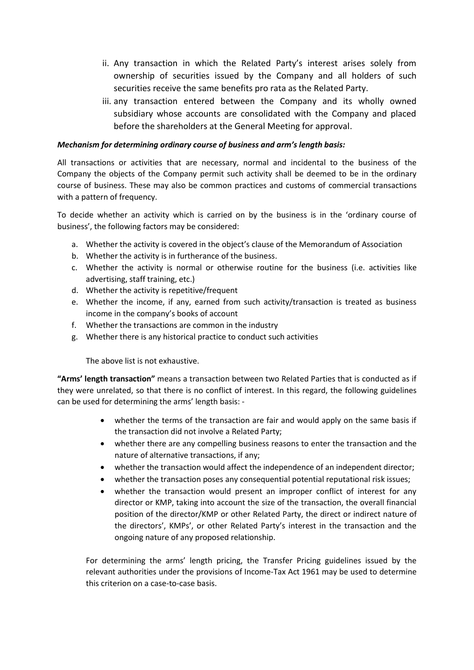- ii. Any transaction in which the Related Party's interest arises solely from ownership of securities issued by the Company and all holders of such securities receive the same benefits pro rata as the Related Party.
- iii. any transaction entered between the Company and its wholly owned subsidiary whose accounts are consolidated with the Company and placed before the shareholders at the General Meeting for approval.

### *Mechanism for determining ordinary course of business and arm's length basis:*

All transactions or activities that are necessary, normal and incidental to the business of the Company the objects of the Company permit such activity shall be deemed to be in the ordinary course of business. These may also be common practices and customs of commercial transactions with a pattern of frequency.

To decide whether an activity which is carried on by the business is in the 'ordinary course of business', the following factors may be considered:

- a. Whether the activity is covered in the object's clause of the Memorandum of Association
- b. Whether the activity is in furtherance of the business.
- c. Whether the activity is normal or otherwise routine for the business (i.e. activities like advertising, staff training, etc.)
- d. Whether the activity is repetitive/frequent
- e. Whether the income, if any, earned from such activity/transaction is treated as business income in the company's books of account
- f. Whether the transactions are common in the industry
- g. Whether there is any historical practice to conduct such activities

The above list is not exhaustive.

**"Arms' length transaction"** means a transaction between two Related Parties that is conducted as if they were unrelated, so that there is no conflict of interest. In this regard, the following guidelines can be used for determining the arms' length basis: ‐

- whether the terms of the transaction are fair and would apply on the same basis if the transaction did not involve a Related Party;
- whether there are any compelling business reasons to enter the transaction and the nature of alternative transactions, if any;
- whether the transaction would affect the independence of an independent director;
- whether the transaction poses any consequential potential reputational risk issues;
- whether the transaction would present an improper conflict of interest for any director or KMP, taking into account the size of the transaction, the overall financial position of the director/KMP or other Related Party, the direct or indirect nature of the directors', KMPs', or other Related Party's interest in the transaction and the ongoing nature of any proposed relationship.

For determining the arms' length pricing, the Transfer Pricing guidelines issued by the relevant authorities under the provisions of Income-Tax Act 1961 may be used to determine this criterion on a case-to-case basis.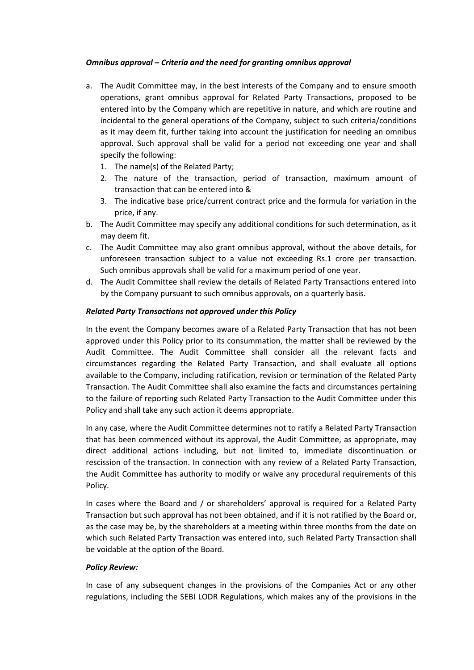#### *Omnibus approval – Criteria and the need for granting omnibus approval*

- a. The Audit Committee may, in the best interests of the Company and to ensure smooth operations, grant omnibus approval for Related Party Transactions, proposed to be entered into by the Company which are repetitive in nature, and which are routine and incidental to the general operations of the Company, subject to such criteria/conditions as it may deem fit, further taking into account the justification for needing an omnibus approval. Such approval shall be valid for a period not exceeding one year and shall specify the following:
	- 1. The name(s) of the Related Party;
	- 2. The nature of the transaction, period of transaction, maximum amount of transaction that can be entered into &
	- 3. The indicative base price/current contract price and the formula for variation in the price, if any.
- b. The Audit Committee may specify any additional conditions for such determination, as it may deem fit.
- c. The Audit Committee may also grant omnibus approval, without the above details, for unforeseen transaction subject to a value not exceeding Rs.1 crore per transaction. Such omnibus approvals shall be valid for a maximum period of one year.
- d. The Audit Committee shall review the details of Related Party Transactions entered into by the Company pursuant to such omnibus approvals, on a quarterly basis.

#### *Related Party Transactions not approved under this Policy*

In the event the Company becomes aware of a Related Party Transaction that has not been approved under this Policy prior to its consummation, the matter shall be reviewed by the Audit Committee. The Audit Committee shall consider all the relevant facts and circumstances regarding the Related Party Transaction, and shall evaluate all options available to the Company, including ratification, revision or termination of the Related Party Transaction. The Audit Committee shall also examine the facts and circumstances pertaining to the failure of reporting such Related Party Transaction to the Audit Committee under this Policy and shall take any such action it deems appropriate.

In any case, where the Audit Committee determines not to ratify a Related Party Transaction that has been commenced without its approval, the Audit Committee, as appropriate, may direct additional actions including, but not limited to, immediate discontinuation or rescission of the transaction. In connection with any review of a Related Party Transaction, the Audit Committee has authority to modify or waive any procedural requirements of this Policy.

In cases where the Board and / or shareholders' approval is required for a Related Party Transaction but such approval has not been obtained, and if it is not ratified by the Board or, as the case may be, by the shareholders at a meeting within three months from the date on which such Related Party Transaction was entered into, such Related Party Transaction shall be voidable at the option of the Board.

## *Policy Review:*

In case of any subsequent changes in the provisions of the Companies Act or any other regulations, including the SEBI LODR Regulations, which makes any of the provisions in the